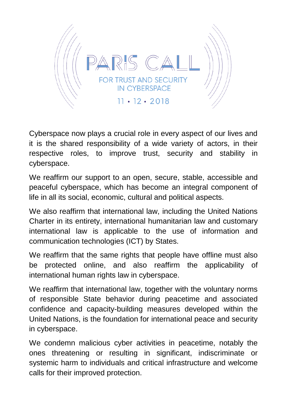

Cyberspace now plays a crucial role in every aspect of our lives and it is the shared responsibility of a wide variety of actors, in their respective roles, to improve trust, security and stability in cyberspace.

We reaffirm our support to an open, secure, stable, accessible and peaceful cyberspace, which has become an integral component of life in all its social, economic, cultural and political aspects.

We also reaffirm that international law, including the United Nations Charter in its entirety, international humanitarian law and customary international law is applicable to the use of information and communication technologies (ICT) by States.

We reaffirm that the same rights that people have offline must also be protected online, and also reaffirm the applicability of international human rights law in cyberspace.

We reaffirm that international law, together with the voluntary norms of responsible State behavior during peacetime and associated confidence and capacity-building measures developed within the United Nations, is the foundation for international peace and security in cyberspace.

We condemn malicious cyber activities in peacetime, notably the ones threatening or resulting in significant, indiscriminate or systemic harm to individuals and critical infrastructure and welcome calls for their improved protection.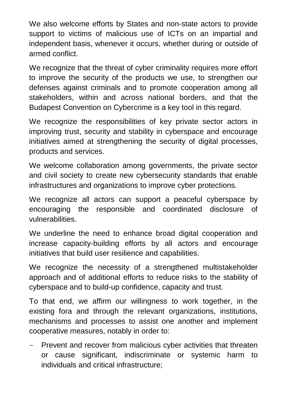We also welcome efforts by States and non-state actors to provide support to victims of malicious use of ICTs on an impartial and independent basis, whenever it occurs, whether during or outside of armed conflict.

We recognize that the threat of cyber criminality requires more effort to improve the security of the products we use, to strengthen our defenses against criminals and to promote cooperation among all stakeholders, within and across national borders, and that the Budapest Convention on Cybercrime is a key tool in this regard.

We recognize the responsibilities of key private sector actors in improving trust, security and stability in cyberspace and encourage initiatives aimed at strengthening the security of digital processes, products and services.

We welcome collaboration among governments, the private sector and civil society to create new cybersecurity standards that enable infrastructures and organizations to improve cyber protections.

We recognize all actors can support a peaceful cyberspace by encouraging the responsible and coordinated disclosure of vulnerabilities.

We underline the need to enhance broad digital cooperation and increase capacity-building efforts by all actors and encourage initiatives that build user resilience and capabilities.

We recognize the necessity of a strengthened multistakeholder approach and of additional efforts to reduce risks to the stability of cyberspace and to build-up confidence, capacity and trust.

To that end, we affirm our willingness to work together, in the existing fora and through the relevant organizations, institutions, mechanisms and processes to assist one another and implement cooperative measures, notably in order to:

- Prevent and recover from malicious cyber activities that threaten or cause significant, indiscriminate or systemic harm to individuals and critical infrastructure;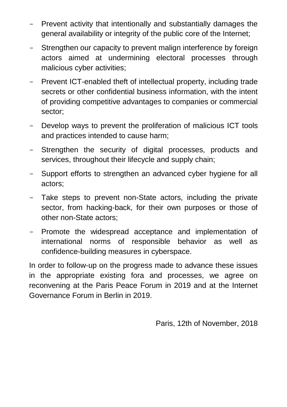- Prevent activity that intentionally and substantially damages the general availability or integrity of the public core of the Internet;
- Strengthen our capacity to prevent malign interference by foreign actors aimed at undermining electoral processes through malicious cyber activities;
- Prevent ICT-enabled theft of intellectual property, including trade secrets or other confidential business information, with the intent of providing competitive advantages to companies or commercial sector;
- Develop ways to prevent the proliferation of malicious ICT tools and practices intended to cause harm;
- Strengthen the security of digital processes, products and services, throughout their lifecycle and supply chain;
- Support efforts to strengthen an advanced cyber hygiene for all actors;
- Take steps to prevent non-State actors, including the private sector, from hacking-back, for their own purposes or those of other non-State actors;
- Promote the widespread acceptance and implementation of international norms of responsible behavior as well as confidence-building measures in cyberspace.

In order to follow-up on the progress made to advance these issues in the appropriate existing fora and processes, we agree on reconvening at the Paris Peace Forum in 2019 and at the Internet Governance Forum in Berlin in 2019.

Paris, 12th of November, 2018